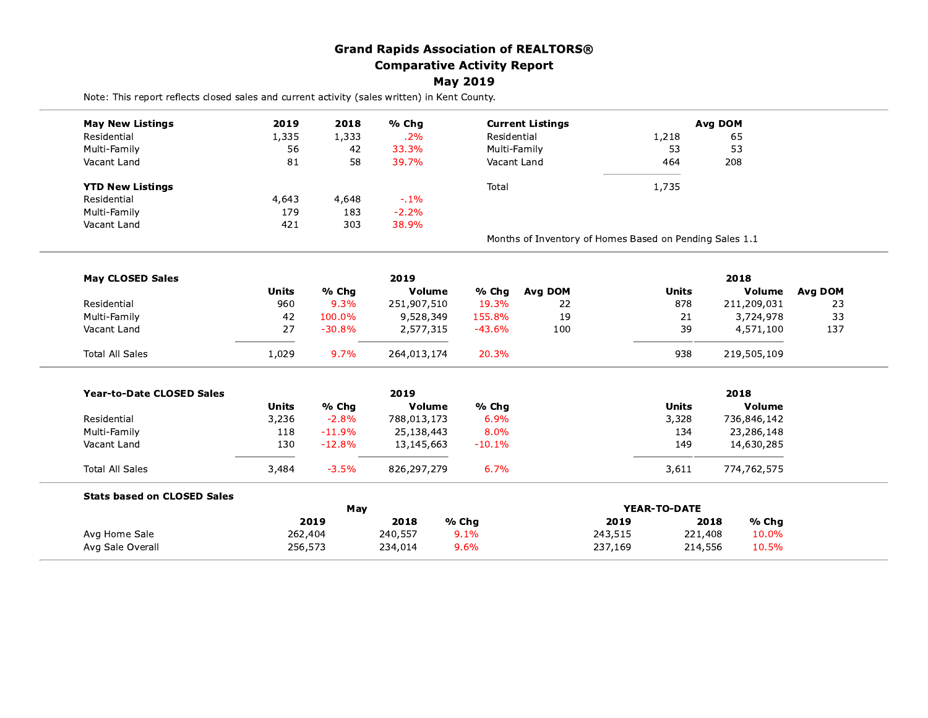|                                                                                              |              |             | <b>Grand Rapids Association of REALTORS®</b> |                 |                                                         |         |              |                |                |
|----------------------------------------------------------------------------------------------|--------------|-------------|----------------------------------------------|-----------------|---------------------------------------------------------|---------|--------------|----------------|----------------|
|                                                                                              |              |             | <b>Comparative Activity Report</b>           |                 |                                                         |         |              |                |                |
|                                                                                              |              |             |                                              | <b>May 2019</b> |                                                         |         |              |                |                |
| Note: This report reflects closed sales and current activity (sales written) in Kent County. |              |             |                                              |                 |                                                         |         |              |                |                |
| <b>May New Listings</b>                                                                      | 2019         | 2018        | % Chg                                        |                 | <b>Current Listings</b>                                 |         |              | <b>Avg DOM</b> |                |
| Residential                                                                                  | 1,335        | 1,333       | .2%                                          | Residential     |                                                         |         | 1,218        | 65             |                |
| Multi-Family                                                                                 | 56           | 42          | 33.3%                                        | Multi-Family    |                                                         |         | 53           | 53             |                |
| Vacant Land                                                                                  | 81           | 58          | 39.7%                                        | Vacant Land     |                                                         |         | 464          | 208            |                |
| <b>YTD New Listings</b>                                                                      |              |             |                                              | Total           |                                                         |         | 1,735        |                |                |
| Residential                                                                                  | 4,643        | 4,648       | $-.1%$                                       |                 |                                                         |         |              |                |                |
| Multi-Family                                                                                 | 179          | 183         | $-2.2%$                                      |                 |                                                         |         |              |                |                |
| Vacant Land                                                                                  | 421          | 303         | 38.9%                                        |                 |                                                         |         |              |                |                |
|                                                                                              |              |             |                                              |                 | Months of Inventory of Homes Based on Pending Sales 1.1 |         |              |                |                |
| <b>May CLOSED Sales</b>                                                                      |              |             | 2019                                         |                 |                                                         |         |              | 2018           |                |
|                                                                                              | <b>Units</b> | % Chg       | Volume                                       | % Chg           | <b>Avg DOM</b>                                          |         | <b>Units</b> | Volume         | <b>Avg DOM</b> |
| Residential                                                                                  | 960          | 9.3%        | 251,907,510                                  | 19.3%           | 22                                                      |         | 878          | 211,209,031    | 23             |
| Multi-Family                                                                                 | 42           | 100.0%      | 9,528,349                                    | 155.8%          | 19                                                      |         | 21           | 3,724,978      | 33             |
| Vacant Land                                                                                  | 27           | $-30.8%$    | 2,577,315                                    | $-43.6%$        | 100                                                     |         | 39           | 4,571,100      | 137            |
| <b>Total All Sales</b>                                                                       | 1,029        | 9.7%        | 264,013,174                                  | 20.3%           |                                                         |         | 938          | 219,505,109    |                |
|                                                                                              |              |             | 2019                                         |                 |                                                         |         |              | 2018           |                |
| Year-to-Date CLOSED Sales                                                                    | <b>Units</b> | % Chg       | Volume                                       | % Chg           |                                                         |         | <b>Units</b> | Volume         |                |
| Residential                                                                                  | 3,236        | $-2.8%$     | 788,013,173                                  | 6.9%            |                                                         |         | 3,328        | 736,846,142    |                |
| Multi-Family                                                                                 | 118          | $-11.9%$    | 25,138,443                                   | 8.0%            |                                                         |         | 134          | 23,286,148     |                |
| Vacant Land                                                                                  | 130          | $-12.8%$    | 13,145,663                                   | $-10.1%$        |                                                         |         | 149          | 14,630,285     |                |
| Total All Sales                                                                              | 3,484        | $-3.5%$     | 826,297,279                                  | 6.7%            |                                                         |         | 3,611        | 774,762,575    |                |
| <b>Stats based on CLOSED Sales</b>                                                           |              |             |                                              |                 |                                                         |         |              |                |                |
|                                                                                              |              | May<br>2019 | 2018                                         | % Chg           |                                                         | 2019    | YEAR-TO-DATE | 2018<br>% Chg  |                |
| Avg Home Sale                                                                                | 262,404      |             | 240,557                                      | 9.1%            |                                                         | 243,515 | 221,408      | 10.0%          |                |
| Avg Sale Overall                                                                             |              | 256,573     | 234,014                                      | 9.6%            |                                                         | 237,169 | 214,556      | 10.5%          |                |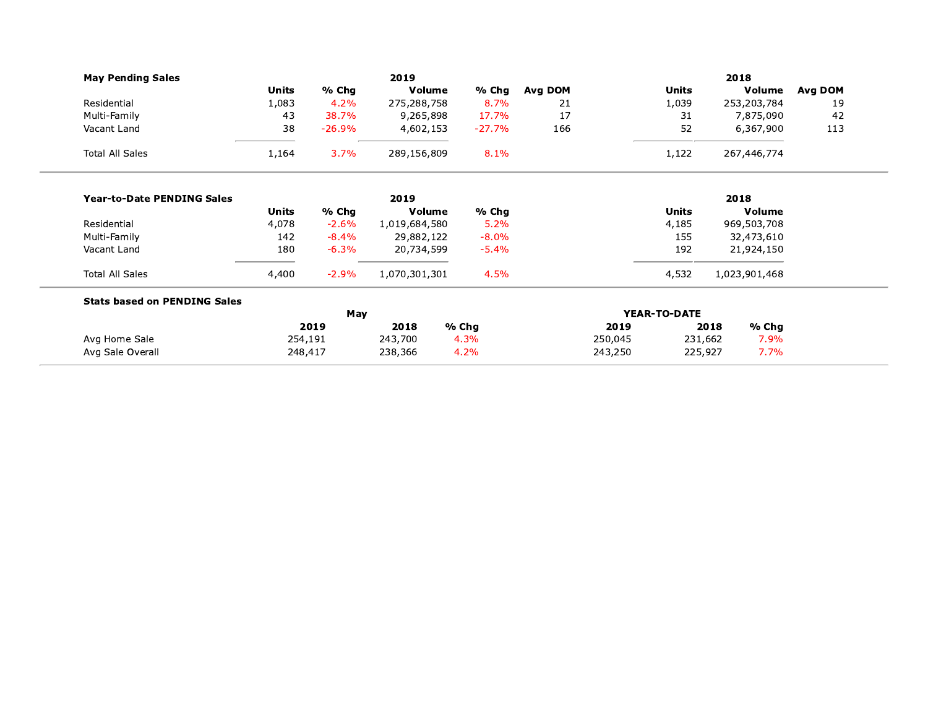| <b>May Pending Sales</b>            |              |          | 2019          |          | 2018                |         |         |                 |         |
|-------------------------------------|--------------|----------|---------------|----------|---------------------|---------|---------|-----------------|---------|
|                                     | <b>Units</b> | % Chg    | Volume        | % Chg    | Avg DOM             |         | Units   | Volume          | Avg DOM |
| Residential                         | 1,083        | 4.2%     | 275,288,758   | 8.7%     | 21                  |         | 1,039   | 253,203,784     | 19      |
| Multi-Family                        | 43           | 38.7%    | 9,265,898     | 17.7%    | 17                  |         | 31      | 7,875,090       | 42      |
| Vacant Land                         | 38           | $-26.9%$ | 4,602,153     | $-27.7%$ | 166                 |         | 52      | 6,367,900       | 113     |
| <b>Total All Sales</b>              | 1,164        | 3.7%     | 289,156,809   | 8.1%     |                     |         | 1,122   | 267,446,774     |         |
| <b>Year-to-Date PENDING Sales</b>   |              |          | 2019          |          |                     |         |         | 2018            |         |
|                                     | Units        | % Chg    | Volume        | % Chg    |                     |         | Units   | <b>Volume</b>   |         |
| Residential                         | 4,078        | $-2.6%$  | 1,019,684,580 | 5.2%     |                     |         | 4,185   | 969,503,708     |         |
| Multi-Family                        | 142          | $-8.4\%$ | 29,882,122    | $-8.0%$  |                     |         | 155     | 32,473,610      |         |
| Vacant Land                         | 180          | $-6.3%$  | 20,734,599    | $-5.4\%$ |                     |         | 192     | 21,924,150      |         |
| <b>Total All Sales</b>              | 4,400        | $-2.9%$  | 1,070,301,301 | 4.5%     |                     |         | 4,532   | 1,023,901,468   |         |
| <b>Stats based on PENDING Sales</b> |              |          |               |          |                     |         |         |                 |         |
|                                     | May          |          |               |          | <b>YEAR-TO-DATE</b> |         |         |                 |         |
|                                     |              | 2019     | 2018          | % Chg    |                     | 2019    |         | $%$ Chg<br>2018 |         |
| Avg Home Sale                       | 254,191      |          | 243,700       | 4.3%     |                     | 250,045 | 231,662 | 7.9%            |         |
| Avg Sale Overall                    | 248,417      |          | 238,366       | 4.2%     |                     | 243,250 | 225,927 | 7.7%            |         |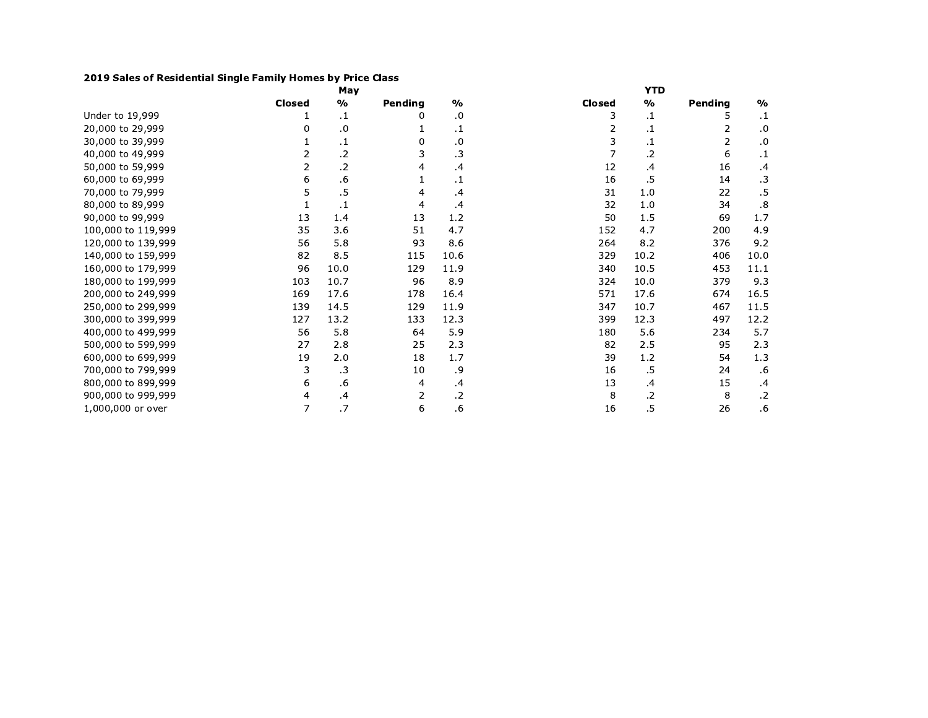## 2019 Sales of Residential Single Family Homes by Price Class

|                    |               | May           |         |               | <b>YTD</b> |               |                |               |  |  |
|--------------------|---------------|---------------|---------|---------------|------------|---------------|----------------|---------------|--|--|
|                    | <b>Closed</b> | $\frac{0}{0}$ | Pending | $\frac{0}{0}$ | Closed     | $\frac{9}{0}$ | Pending        | $\frac{0}{0}$ |  |  |
| Under to 19,999    |               | $\cdot$       | 0       | .0            | 3          | $\cdot$       | 5              | $\cdot$ 1     |  |  |
| 20,000 to 29,999   | 0             | .0            |         | $\cdot$ 1     | 2          | .1            | 2              | .0            |  |  |
| 30,000 to 39,999   |               | $\cdot$ 1     | 0       | .0            | 3          | .1            | $\overline{2}$ | .0            |  |  |
| 40,000 to 49,999   | 2             | .2            | 3       | $\cdot$ 3     |            | .2            | 6              | $\cdot$       |  |  |
| 50,000 to 59,999   | 2             | .2            | 4       | .4            | 12         | .4            | 16             | .4            |  |  |
| 60,000 to 69,999   | 6             | .6            | 1       | $\cdot$ 1     | 16         | .5            | 14             | $\cdot$ 3     |  |  |
| 70,000 to 79,999   | 5             | .5            | 4       | $\cdot$       | 31         | 1.0           | 22             | .5            |  |  |
| 80,000 to 89,999   |               | $\cdot$ 1     | 4       | $\cdot$       | 32         | 1.0           | 34             | .8            |  |  |
| 90,000 to 99,999   | 13            | 1.4           | 13      | 1.2           | 50         | 1.5           | 69             | 1.7           |  |  |
| 100,000 to 119,999 | 35            | 3.6           | 51      | 4.7           | 152        | 4.7           | 200            | 4.9           |  |  |
| 120,000 to 139,999 | 56            | 5.8           | 93      | 8.6           | 264        | 8.2           | 376            | 9.2           |  |  |
| 140,000 to 159,999 | 82            | 8.5           | 115     | 10.6          | 329        | 10.2          | 406            | 10.0          |  |  |
| 160,000 to 179,999 | 96            | 10.0          | 129     | 11.9          | 340        | 10.5          | 453            | 11.1          |  |  |
| 180,000 to 199,999 | 103           | 10.7          | 96      | 8.9           | 324        | 10.0          | 379            | 9.3           |  |  |
| 200,000 to 249,999 | 169           | 17.6          | 178     | 16.4          | 571        | 17.6          | 674            | 16.5          |  |  |
| 250,000 to 299,999 | 139           | 14.5          | 129     | 11.9          | 347        | 10.7          | 467            | 11.5          |  |  |
| 300,000 to 399,999 | 127           | 13.2          | 133     | 12.3          | 399        | 12.3          | 497            | 12.2          |  |  |
| 400,000 to 499,999 | 56            | 5.8           | 64      | 5.9           | 180        | 5.6           | 234            | 5.7           |  |  |
| 500,000 to 599,999 | 27            | 2.8           | 25      | 2.3           | 82         | 2.5           | 95             | 2.3           |  |  |
| 600,000 to 699,999 | 19            | 2.0           | 18      | 1.7           | 39         | 1.2           | 54             | 1.3           |  |  |
| 700,000 to 799,999 | 3             | .3            | 10      | .9            | 16         | .5            | 24             | .6            |  |  |
| 800,000 to 899,999 | 6             | .6            | 4       | .4            | 13         | .4            | 15             | .4            |  |  |
| 900,000 to 999,999 | 4             | $\cdot$       | 2       | $\cdot$ .2    | 8          | .2            | 8              | $\cdot$       |  |  |
| 1,000,000 or over  | 7             | .7            | 6       | .6            | 16         | .5            | 26             | .6            |  |  |